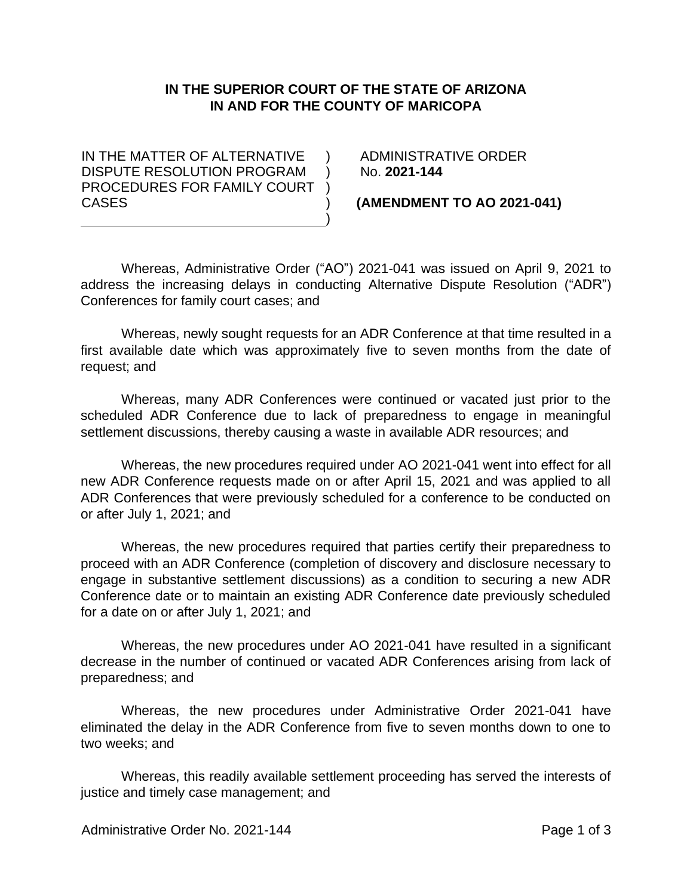## **IN THE SUPERIOR COURT OF THE STATE OF ARIZONA IN AND FOR THE COUNTY OF MARICOPA**

 $\lambda$  $\lambda$ 

> ) )

IN THE MATTER OF ALTERNATIVE DISPUTE RESOLUTION PROGRAM PROCEDURES FOR FAMILY COURT ) CASES

 ADMINISTRATIVE ORDER No. **2021-144**

**(AMENDMENT TO AO 2021-041)**

Whereas, Administrative Order ("AO") 2021-041 was issued on April 9, 2021 to address the increasing delays in conducting Alternative Dispute Resolution ("ADR") Conferences for family court cases; and

Whereas, newly sought requests for an ADR Conference at that time resulted in a first available date which was approximately five to seven months from the date of request; and

Whereas, many ADR Conferences were continued or vacated just prior to the scheduled ADR Conference due to lack of preparedness to engage in meaningful settlement discussions, thereby causing a waste in available ADR resources; and

Whereas, the new procedures required under AO 2021-041 went into effect for all new ADR Conference requests made on or after April 15, 2021 and was applied to all ADR Conferences that were previously scheduled for a conference to be conducted on or after July 1, 2021; and

Whereas, the new procedures required that parties certify their preparedness to proceed with an ADR Conference (completion of discovery and disclosure necessary to engage in substantive settlement discussions) as a condition to securing a new ADR Conference date or to maintain an existing ADR Conference date previously scheduled for a date on or after July 1, 2021; and

Whereas, the new procedures under AO 2021-041 have resulted in a significant decrease in the number of continued or vacated ADR Conferences arising from lack of preparedness; and

Whereas, the new procedures under Administrative Order 2021-041 have eliminated the delay in the ADR Conference from five to seven months down to one to two weeks; and

Whereas, this readily available settlement proceeding has served the interests of justice and timely case management; and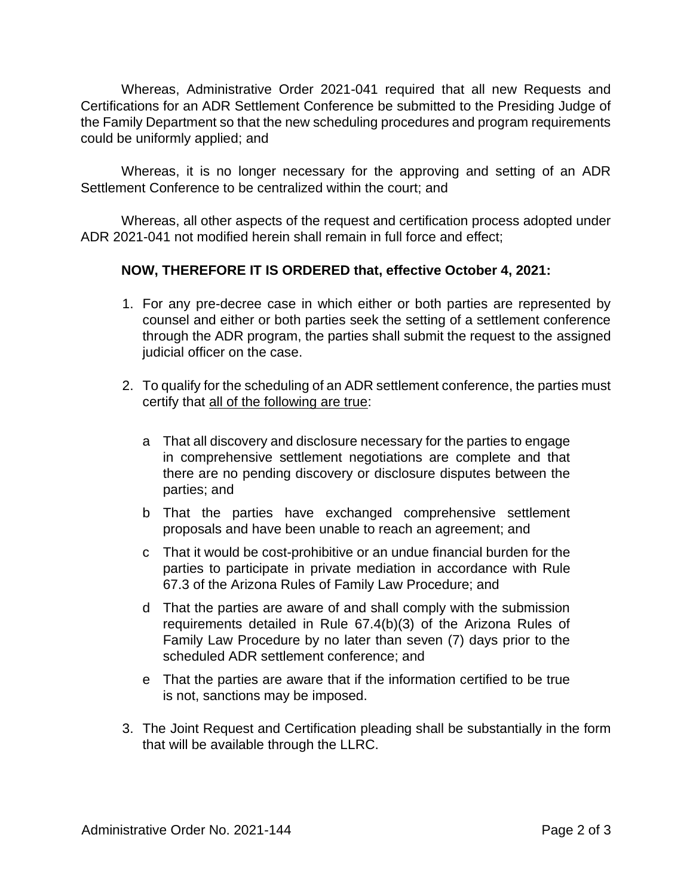Whereas, Administrative Order 2021-041 required that all new Requests and Certifications for an ADR Settlement Conference be submitted to the Presiding Judge of the Family Department so that the new scheduling procedures and program requirements could be uniformly applied; and

Whereas, it is no longer necessary for the approving and setting of an ADR Settlement Conference to be centralized within the court; and

Whereas, all other aspects of the request and certification process adopted under ADR 2021-041 not modified herein shall remain in full force and effect;

## **NOW, THEREFORE IT IS ORDERED that, effective October 4, 2021:**

- 1. For any pre-decree case in which either or both parties are represented by counsel and either or both parties seek the setting of a settlement conference through the ADR program, the parties shall submit the request to the assigned judicial officer on the case.
- 2. To qualify for the scheduling of an ADR settlement conference, the parties must certify that all of the following are true:
	- a That all discovery and disclosure necessary for the parties to engage in comprehensive settlement negotiations are complete and that there are no pending discovery or disclosure disputes between the parties; and
	- b That the parties have exchanged comprehensive settlement proposals and have been unable to reach an agreement; and
	- c That it would be cost-prohibitive or an undue financial burden for the parties to participate in private mediation in accordance with Rule 67.3 of the Arizona Rules of Family Law Procedure; and
	- d That the parties are aware of and shall comply with the submission requirements detailed in Rule 67.4(b)(3) of the Arizona Rules of Family Law Procedure by no later than seven (7) days prior to the scheduled ADR settlement conference; and
	- e That the parties are aware that if the information certified to be true is not, sanctions may be imposed.
- 3. The Joint Request and Certification pleading shall be substantially in the form that will be available through the LLRC.